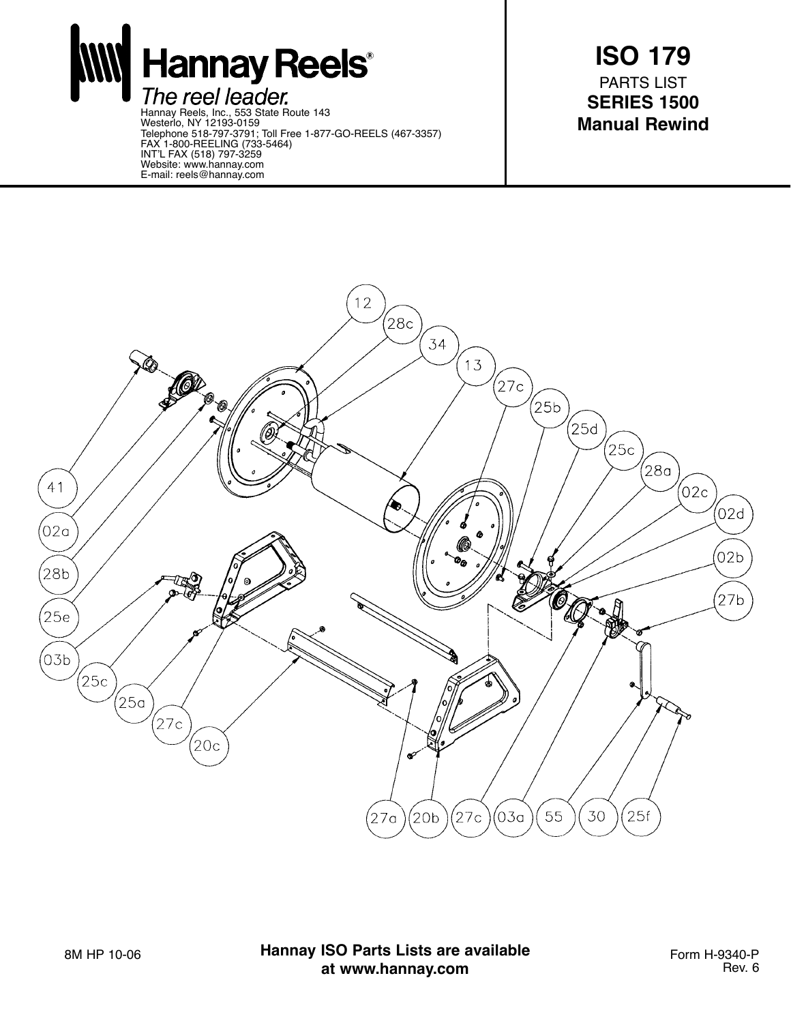**Hannay Reels®** The reel leader. Hannay Reels, Inc., 553 State Route 143 Westerlo, NY 12193-0159 Telephone 518-797-3791; Toll Free 1-877-GO-REELS (467-3357)

FAX 1-800-REELING (733-5464) INT'L FAX (518) 797-3259 Website: www.hannay.com E-mail: reels@hannay.com

**ISO 179** PARTS LIST **SERIES 1500 Manual Rewind**



8M HP 10-06 **Hannay ISO Parts Lists are available** Form H-9340-P **at www.hannay.com**

Rev. 6